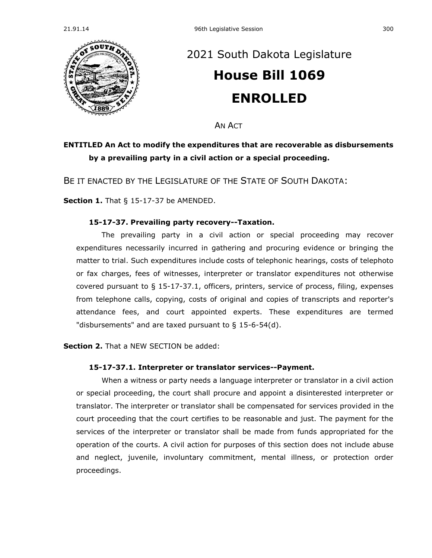

## [2021 South Dakota Legislature](https://sdlegislature.gov/Session/Bills/44) **[House Bill 1069](https://sdlegislature.gov/Session/Bill/21808) ENROLLED**

AN ACT

## **ENTITLED An Act to modify the expenditures that are recoverable as disbursements by a prevailing party in a civil action or a special proceeding.**

BE IT ENACTED BY THE LEGISLATURE OF THE STATE OF SOUTH DAKOTA:

**Section 1.** [That § 15-17-37 be AMENDED.](https://sdlegislature.gov/Statutes/Codified_Laws/DisplayStatute.aspx?Type=Statute&Statute=15-17-37)

## **[15-17-37. P](https://sdlegislature.gov/Statutes/Codified_Laws/DisplayStatute.aspx?Type=Statute&Statute=15-17-37)revailing party recovery--Taxation.**

The prevailing party in a civil action or special proceeding may recover expenditures necessarily incurred in gathering and procuring evidence or bringing the matter to trial. Such expenditures include costs of telephonic hearings, costs of telephoto or fax charges, fees of witnesses, interpreter or translator expenditures not otherwise covered pursuant to § 15-17-37.1, officers, printers, service of process, filing, expenses from telephone calls, copying, costs of original and copies of transcripts and reporter's attendance fees, and court appointed experts. These expenditures are termed "disbursements" and are taxed pursuant to § [15-6-54\(d\).](https://sdlegislature.gov/Statutes/Codified_Laws/DisplayStatute.aspx?Type=Statute&Statute=15-6-54(d))

**Section 2.** That a NEW SECTION be added:

## **15-17-37.1. Interpreter or translator services--Payment.**

When a witness or party needs a language interpreter or translator in a civil action or special proceeding, the court shall procure and appoint a disinterested interpreter or translator. The interpreter or translator shall be compensated for services provided in the court proceeding that the court certifies to be reasonable and just. The payment for the services of the interpreter or translator shall be made from funds appropriated for the operation of the courts. A civil action for purposes of this section does not include abuse and neglect, juvenile, involuntary commitment, mental illness, or protection order proceedings.